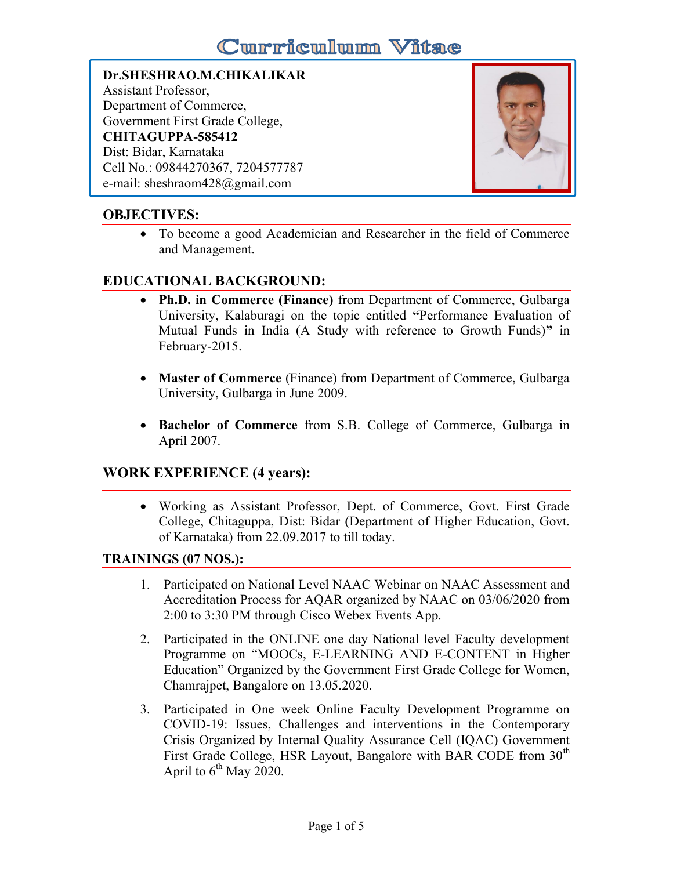# **Curriculum Vitae**

# Dr.SHESHRAO.M.CHIKALIKAR Assistant Professor, Department of Commerce, Government First Grade College, CHITAGUPPA-585412 Dist: Bidar, Karnataka Cell No.: 09844270367, 7204577787 e-mail: sheshraom428@gmail.com



# OBJECTIVES:

 To become a good Academician and Researcher in the field of Commerce and Management.

# EDUCATIONAL BACKGROUND:

- Ph.D. in Commerce (Finance) from Department of Commerce, Gulbarga University, Kalaburagi on the topic entitled "Performance Evaluation of Mutual Funds in India (A Study with reference to Growth Funds)" in February-2015.
- Master of Commerce (Finance) from Department of Commerce, Gulbarga University, Gulbarga in June 2009.
- Bachelor of Commerce from S.B. College of Commerce, Gulbarga in April 2007.

# WORK EXPERIENCE (4 years):

 Working as Assistant Professor, Dept. of Commerce, Govt. First Grade College, Chitaguppa, Dist: Bidar (Department of Higher Education, Govt. of Karnataka) from 22.09.2017 to till today.

# TRAININGS (07 NOS.):

- 1. Participated on National Level NAAC Webinar on NAAC Assessment and Accreditation Process for AQAR organized by NAAC on 03/06/2020 from 2:00 to 3:30 PM through Cisco Webex Events App.
- 2. Participated in the ONLINE one day National level Faculty development Programme on "MOOCs, E-LEARNING AND E-CONTENT in Higher Education" Organized by the Government First Grade College for Women, Chamrajpet, Bangalore on 13.05.2020.
- 3. Participated in One week Online Faculty Development Programme on COVID-19: Issues, Challenges and interventions in the Contemporary Crisis Organized by Internal Quality Assurance Cell (IQAC) Government First Grade College, HSR Layout, Bangalore with BAR CODE from 30<sup>th</sup> April to  $6^{th}$  May 2020.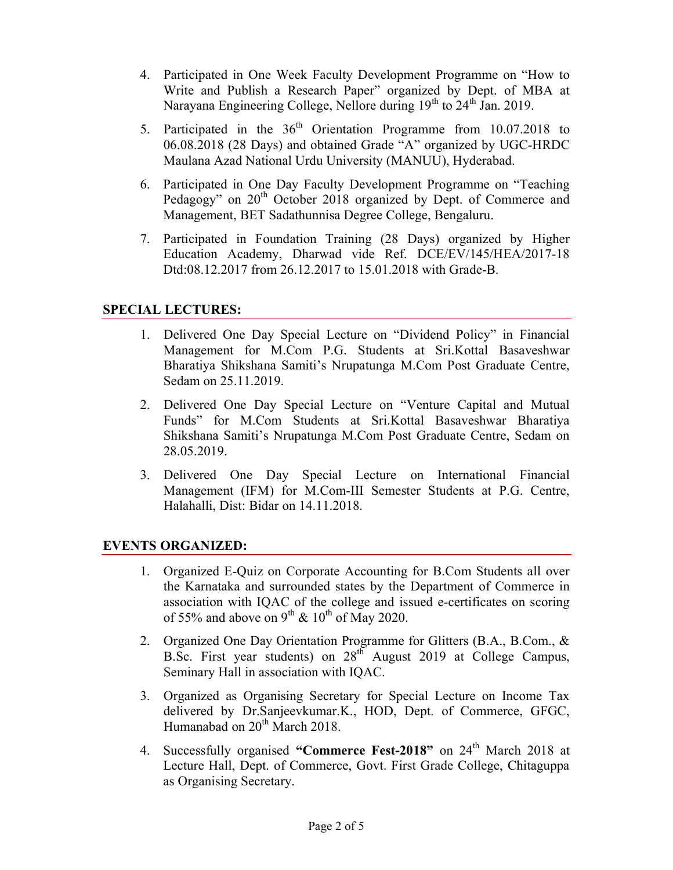- 4. Participated in One Week Faculty Development Programme on "How to Write and Publish a Research Paper" organized by Dept. of MBA at Narayana Engineering College, Nellore during  $19<sup>th</sup>$  to  $24<sup>th</sup>$  Jan. 2019.
- 5. Participated in the  $36<sup>th</sup>$  Orientation Programme from 10.07.2018 to 06.08.2018 (28 Days) and obtained Grade "A" organized by UGC-HRDC Maulana Azad National Urdu University (MANUU), Hyderabad.
- 6. Participated in One Day Faculty Development Programme on "Teaching Pedagogy" on 20<sup>th</sup> October 2018 organized by Dept. of Commerce and Management, BET Sadathunnisa Degree College, Bengaluru.
- 7. Participated in Foundation Training (28 Days) organized by Higher Education Academy, Dharwad vide Ref. DCE/EV/145/HEA/2017-18 Dtd:08.12.2017 from 26.12.2017 to 15.01.2018 with Grade-B.

# SPECIAL LECTURES:

- 1. Delivered One Day Special Lecture on "Dividend Policy" in Financial Management for M.Com P.G. Students at Sri.Kottal Basaveshwar Bharatiya Shikshana Samiti's Nrupatunga M.Com Post Graduate Centre, Sedam on 25.11.2019.
- 2. Delivered One Day Special Lecture on "Venture Capital and Mutual Funds" for M.Com Students at Sri.Kottal Basaveshwar Bharatiya Shikshana Samiti's Nrupatunga M.Com Post Graduate Centre, Sedam on 28.05.2019.
- 3. Delivered One Day Special Lecture on International Financial Management (IFM) for M.Com-III Semester Students at P.G. Centre, Halahalli, Dist: Bidar on 14.11.2018.

# EVENTS ORGANIZED:

- 1. Organized E-Quiz on Corporate Accounting for B.Com Students all over the Karnataka and surrounded states by the Department of Commerce in association with IQAC of the college and issued e-certificates on scoring of 55% and above on 9<sup>th</sup> & 10<sup>th</sup> of May 2020.
- 2. Organized One Day Orientation Programme for Glitters (B.A., B.Com., & B.Sc. First year students) on 28<sup>th</sup> August 2019 at College Campus, Seminary Hall in association with IQAC.
- 3. Organized as Organising Secretary for Special Lecture on Income Tax delivered by Dr.Sanjeevkumar.K., HOD, Dept. of Commerce, GFGC, Humanabad on  $20^{th}$  March 2018.
- 4. Successfully organised "Commerce Fest-2018" on 24<sup>th</sup> March 2018 at Lecture Hall, Dept. of Commerce, Govt. First Grade College, Chitaguppa as Organising Secretary.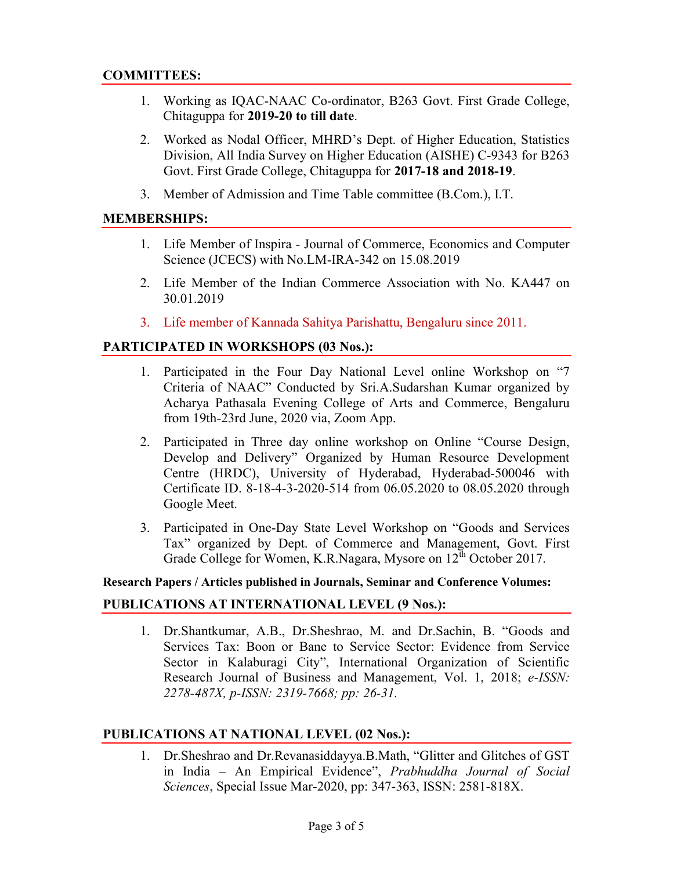# COMMITTEES:

- 1. Working as IQAC-NAAC Co-ordinator, B263 Govt. First Grade College, Chitaguppa for 2019-20 to till date.
- 2. Worked as Nodal Officer, MHRD's Dept. of Higher Education, Statistics Division, All India Survey on Higher Education (AISHE) C-9343 for B263 Govt. First Grade College, Chitaguppa for 2017-18 and 2018-19.
- 3. Member of Admission and Time Table committee (B.Com.), I.T.

#### MEMBERSHIPS:

- 1. Life Member of Inspira Journal of Commerce, Economics and Computer Science (JCECS) with No.LM-IRA-342 on 15.08.2019
- 2. Life Member of the Indian Commerce Association with No. KA447 on 30.01.2019
- 3. Life member of Kannada Sahitya Parishattu, Bengaluru since 2011.

#### PARTICIPATED IN WORKSHOPS (03 Nos.):

- 1. Participated in the Four Day National Level online Workshop on "7 Criteria of NAAC" Conducted by Sri.A.Sudarshan Kumar organized by Acharya Pathasala Evening College of Arts and Commerce, Bengaluru from 19th-23rd June, 2020 via, Zoom App.
- 2. Participated in Three day online workshop on Online "Course Design, Develop and Delivery" Organized by Human Resource Development Centre (HRDC), University of Hyderabad, Hyderabad-500046 with Certificate ID. 8-18-4-3-2020-514 from 06.05.2020 to 08.05.2020 through Google Meet.
- 3. Participated in One-Day State Level Workshop on "Goods and Services Tax" organized by Dept. of Commerce and Management, Govt. First Grade College for Women, K.R.Nagara, Mysore on 12<sup>th</sup> October 2017.

#### Research Papers / Articles published in Journals, Seminar and Conference Volumes:

#### PUBLICATIONS AT INTERNATIONAL LEVEL (9 Nos.):

1. Dr.Shantkumar, A.B., Dr.Sheshrao, M. and Dr.Sachin, B. "Goods and Services Tax: Boon or Bane to Service Sector: Evidence from Service Sector in Kalaburagi City", International Organization of Scientific Research Journal of Business and Management, Vol. 1, 2018; e-ISSN: 2278-487X, p-ISSN: 2319-7668; pp: 26-31.

# PUBLICATIONS AT NATIONAL LEVEL (02 Nos.):

1. Dr.Sheshrao and Dr.Revanasiddayya.B.Math, "Glitter and Glitches of GST in India – An Empirical Evidence", Prabhuddha Journal of Social Sciences, Special Issue Mar-2020, pp: 347-363, ISSN: 2581-818X.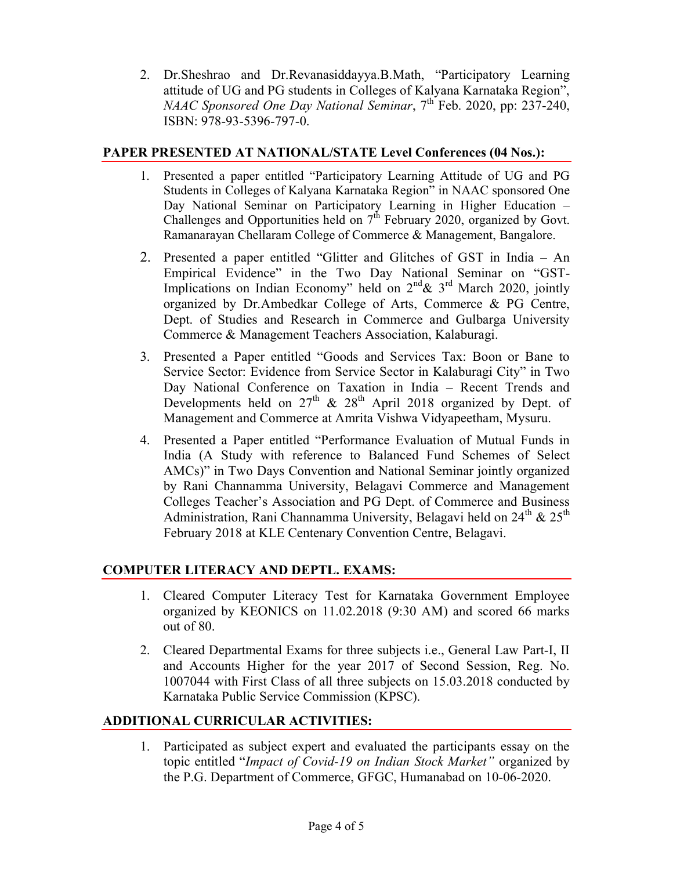2. Dr.Sheshrao and Dr.Revanasiddayya.B.Math, "Participatory Learning attitude of UG and PG students in Colleges of Kalyana Karnataka Region", NAAC Sponsored One Day National Seminar,  $7<sup>th</sup>$  Feb. 2020, pp: 237-240, ISBN: 978-93-5396-797-0.

# PAPER PRESENTED AT NATIONAL/STATE Level Conferences (04 Nos.):

- 1. Presented a paper entitled "Participatory Learning Attitude of UG and PG Students in Colleges of Kalyana Karnataka Region" in NAAC sponsored One Day National Seminar on Participatory Learning in Higher Education – Challenges and Opportunities held on 7<sup>th</sup> February 2020, organized by Govt. Ramanarayan Chellaram College of Commerce & Management, Bangalore.
- 2. Presented a paper entitled "Glitter and Glitches of GST in India An Empirical Evidence" in the Two Day National Seminar on "GST-Implications on Indian Economy" held on  $2^{nd}$ &  $3^{rd}$  March 2020, jointly organized by Dr.Ambedkar College of Arts, Commerce & PG Centre, Dept. of Studies and Research in Commerce and Gulbarga University Commerce & Management Teachers Association, Kalaburagi.
- 3. Presented a Paper entitled "Goods and Services Tax: Boon or Bane to Service Sector: Evidence from Service Sector in Kalaburagi City" in Two Day National Conference on Taxation in India – Recent Trends and Developments held on  $27<sup>th</sup>$  &  $28<sup>th</sup>$  April 2018 organized by Dept. of Management and Commerce at Amrita Vishwa Vidyapeetham, Mysuru.
- 4. Presented a Paper entitled "Performance Evaluation of Mutual Funds in India (A Study with reference to Balanced Fund Schemes of Select AMCs)" in Two Days Convention and National Seminar jointly organized by Rani Channamma University, Belagavi Commerce and Management Colleges Teacher's Association and PG Dept. of Commerce and Business Administration, Rani Channamma University, Belagavi held on  $24^{th}$  &  $25^{th}$ February 2018 at KLE Centenary Convention Centre, Belagavi.

# COMPUTER LITERACY AND DEPTL. EXAMS:

- 1. Cleared Computer Literacy Test for Karnataka Government Employee organized by KEONICS on 11.02.2018 (9:30 AM) and scored 66 marks out of 80.
- 2. Cleared Departmental Exams for three subjects i.e., General Law Part-I, II and Accounts Higher for the year 2017 of Second Session, Reg. No. 1007044 with First Class of all three subjects on 15.03.2018 conducted by Karnataka Public Service Commission (KPSC).

# ADDITIONAL CURRICULAR ACTIVITIES:

1. Participated as subject expert and evaluated the participants essay on the topic entitled "Impact of Covid-19 on Indian Stock Market" organized by the P.G. Department of Commerce, GFGC, Humanabad on 10-06-2020.